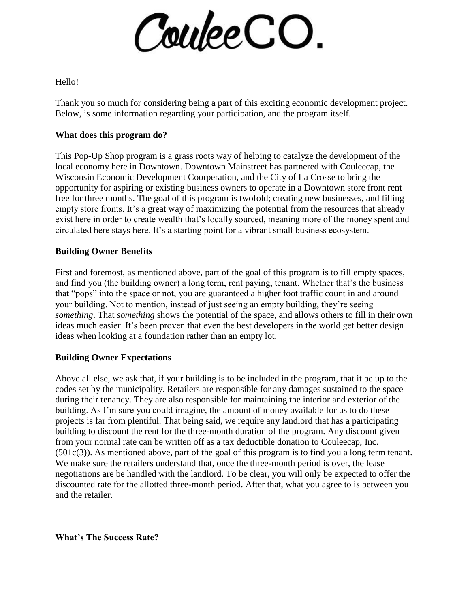

Hello!

Thank you so much for considering being a part of this exciting economic development project. Below, is some information regarding your participation, and the program itself.

## **What does this program do?**

This Pop-Up Shop program is a grass roots way of helping to catalyze the development of the local economy here in Downtown. Downtown Mainstreet has partnered with Couleecap, the Wisconsin Economic Development Coorperation, and the City of La Crosse to bring the opportunity for aspiring or existing business owners to operate in a Downtown store front rent free for three months. The goal of this program is twofold; creating new businesses, and filling empty store fronts. It's a great way of maximizing the potential from the resources that already exist here in order to create wealth that's locally sourced, meaning more of the money spent and circulated here stays here. It's a starting point for a vibrant small business ecosystem.

## **Building Owner Benefits**

First and foremost, as mentioned above, part of the goal of this program is to fill empty spaces, and find you (the building owner) a long term, rent paying, tenant. Whether that's the business that "pops" into the space or not, you are guaranteed a higher foot traffic count in and around your building. Not to mention, instead of just seeing an empty building, they're seeing *something*. That *something* shows the potential of the space, and allows others to fill in their own ideas much easier. It's been proven that even the best developers in the world get better design ideas when looking at a foundation rather than an empty lot.

## **Building Owner Expectations**

Above all else, we ask that, if your building is to be included in the program, that it be up to the codes set by the municipality. Retailers are responsible for any damages sustained to the space during their tenancy. They are also responsible for maintaining the interior and exterior of the building. As I'm sure you could imagine, the amount of money available for us to do these projects is far from plentiful. That being said, we require any landlord that has a participating building to discount the rent for the three-month duration of the program. Any discount given from your normal rate can be written off as a tax deductible donation to Couleecap, Inc. (501c(3)). As mentioned above, part of the goal of this program is to find you a long term tenant. We make sure the retailers understand that, once the three-month period is over, the lease negotiations are be handled with the landlord. To be clear, you will only be expected to offer the discounted rate for the allotted three-month period. After that, what you agree to is between you and the retailer.

**What's The Success Rate?**